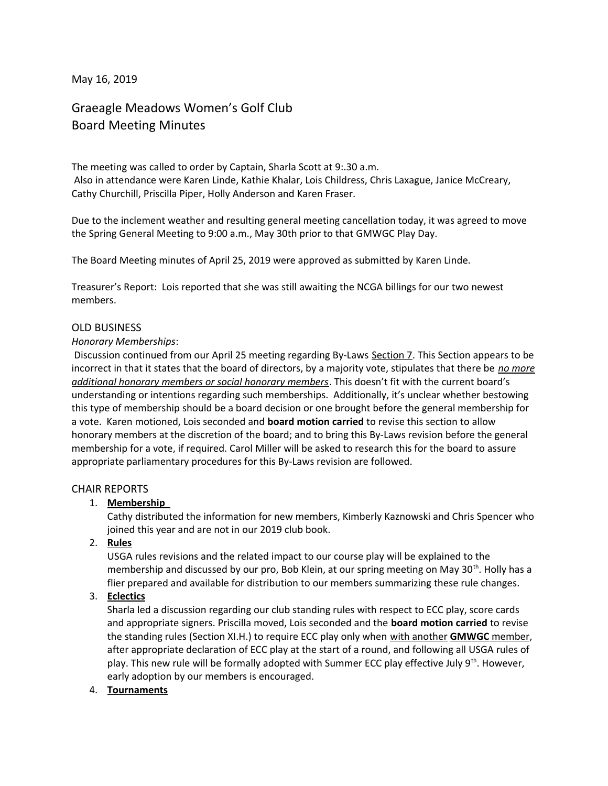May 16, 2019

# Graeagle Meadows Women's Golf Club Board Meeting Minutes

The meeting was called to order by Captain, Sharla Scott at 9:.30 a.m. Also in attendance were Karen Linde, Kathie Khalar, Lois Childress, Chris Laxague, Janice McCreary, Cathy Churchill, Priscilla Piper, Holly Anderson and Karen Fraser.

Due to the inclement weather and resulting general meeting cancellation today, it was agreed to move the Spring General Meeting to 9:00 a.m., May 30th prior to that GMWGC Play Day.

The Board Meeting minutes of April 25, 2019 were approved as submitted by Karen Linde.

Treasurer's Report: Lois reported that she was still awaiting the NCGA billings for our two newest members.

## OLD BUSINESS

## *Honorary Memberships*:

 Discussion continued from our April 25 meeting regarding By-Laws Section 7. This Section appears to be incorrect in that it states that the board of directors, by a majority vote, stipulates that there be *no more additional honorary members or social honorary members*. This doesn't fit with the current board's understanding or intentions regarding such memberships. Additionally, it's unclear whether bestowing this type of membership should be a board decision or one brought before the general membership for a vote. Karen motioned, Lois seconded and **board motion carried** to revise this section to allow honorary members at the discretion of the board; and to bring this By-Laws revision before the general membership for a vote, if required. Carol Miller will be asked to research this for the board to assure appropriate parliamentary procedures for this By-Laws revision are followed.

#### CHAIR REPORTS

#### 1. **Membership**

Cathy distributed the information for new members, Kimberly Kaznowski and Chris Spencer who joined this year and are not in our 2019 club book.

2. **Rules**

USGA rules revisions and the related impact to our course play will be explained to the membership and discussed by our pro, Bob Klein, at our spring meeting on May 30<sup>th</sup>. Holly has a flier prepared and available for distribution to our members summarizing these rule changes.

# 3. **Eclectics**

Sharla led a discussion regarding our club standing rules with respect to ECC play, score cards and appropriate signers. Priscilla moved, Lois seconded and the **board motion carried** to revise the standing rules (Section XI.H.) to require ECC play only when with another **GMWGC** member, after appropriate declaration of ECC play at the start of a round, and following all USGA rules of play. This new rule will be formally adopted with Summer ECC play effective July 9<sup>th</sup>. However, early adoption by our members is encouraged.

#### 4. **Tournaments**